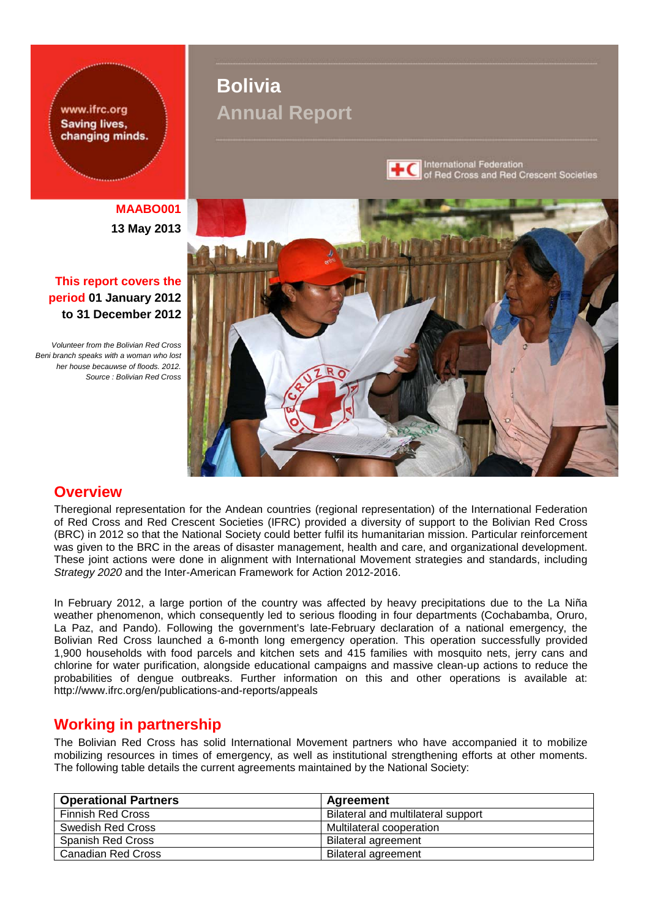www.ifrc.org **Saving lives,** changing minds.

**MAABO001 13 May 2013**

# **This report covers the period 01 January 2012 to 31 December 2012**

*Volunteer from the Bolivian Red Cross Beni branch speaks with a woman who lost her house becauwse of floods. 2012. Source : Bolivian Red Cross*

# **Bolivia Annual Report**



International Federation<br>of Red Cross and Red Crescent Societies



# **Overview**

Theregional representation for the Andean countries (regional representation) of the International Federation of Red Cross and Red Crescent Societies (IFRC) provided a diversity of support to the Bolivian Red Cross (BRC) in 2012 so that the National Society could better fulfil its humanitarian mission. Particular reinforcement was given to the BRC in the areas of disaster management, health and care, and organizational development. These joint actions were done in alignment with International Movement strategies and standards, including *Strategy 2020* and the Inter-American Framework for Action 2012-2016.

In February 2012, a large portion of the country was affected by heavy precipitations due to the La Niña weather phenomenon, which consequently led to serious flooding in four departments (Cochabamba, Oruro, La Paz, and Pando). Following the government's late-February declaration of a national emergency, the Bolivian Red Cross launched a 6-month long emergency operation. This operation successfully provided 1,900 households with food parcels and kitchen sets and 415 families with mosquito nets, jerry cans and chlorine for water purification, alongside educational campaigns and massive clean-up actions to reduce the probabilities of dengue outbreaks. Further information on this and other operations is available at: http://www.ifrc.org/en/publications-and-reports/appeals

# **Working in partnership**

The Bolivian Red Cross has solid International Movement partners who have accompanied it to mobilize mobilizing resources in times of emergency, as well as institutional strengthening efforts at other moments. The following table details the current agreements maintained by the National Society:

| <b>Operational Partners</b> | Agreement                          |
|-----------------------------|------------------------------------|
| Finnish Red Cross           | Bilateral and multilateral support |
| Swedish Red Cross           | Multilateral cooperation           |
| Spanish Red Cross           | <b>Bilateral agreement</b>         |
| <b>Canadian Red Cross</b>   | <b>Bilateral agreement</b>         |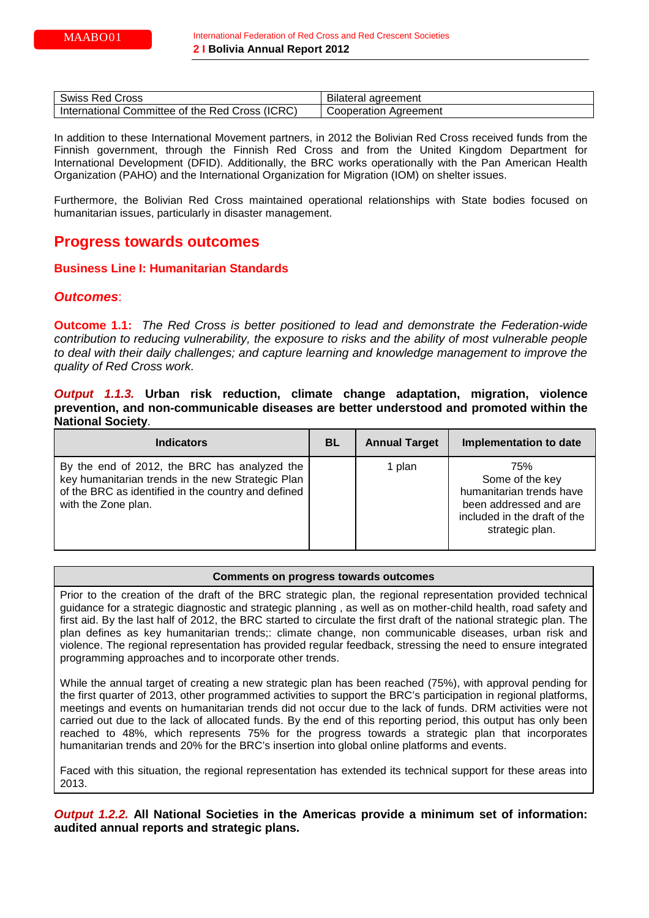| Swiss                                                 | ' agreement              |
|-------------------------------------------------------|--------------------------|
| Red Cross                                             | <b>Bliateral</b>         |
| (ICRC)<br>Committee of the Red Cross<br>International | Cooperation<br>Aareement |

In addition to these International Movement partners, in 2012 the Bolivian Red Cross received funds from the Finnish government, through the Finnish Red Cross and from the United Kingdom Department for International Development (DFID). Additionally, the BRC works operationally with the Pan American Health Organization (PAHO) and the International Organization for Migration (IOM) on shelter issues.

Furthermore, the Bolivian Red Cross maintained operational relationships with State bodies focused on humanitarian issues, particularly in disaster management.

# **Progress towards outcomes**

### **Business Line I: Humanitarian Standards**

# *Outcomes*:

**Outcome 1.1:** *The Red Cross is better positioned to lead and demonstrate the Federation-wide contribution to reducing vulnerability, the exposure to risks and the ability of most vulnerable people to deal with their daily challenges; and capture learning and knowledge management to improve the quality of Red Cross work.*

*Output 1.1.3.* **Urban risk reduction, climate change adaptation, migration, violence prevention, and non-communicable diseases are better understood and promoted within the National Society**.

| <b>Indicators</b>                                                                                                                                                               | BL | <b>Annual Target</b> | Implementation to date                                                                                                          |
|---------------------------------------------------------------------------------------------------------------------------------------------------------------------------------|----|----------------------|---------------------------------------------------------------------------------------------------------------------------------|
| By the end of 2012, the BRC has analyzed the<br>key humanitarian trends in the new Strategic Plan<br>of the BRC as identified in the country and defined<br>with the Zone plan. |    | 1 plan               | 75%<br>Some of the key<br>humanitarian trends have<br>been addressed and are<br>included in the draft of the<br>strategic plan. |

#### **Comments on progress towards outcomes**

Prior to the creation of the draft of the BRC strategic plan, the regional representation provided technical guidance for a strategic diagnostic and strategic planning , as well as on mother-child health, road safety and first aid. By the last half of 2012, the BRC started to circulate the first draft of the national strategic plan. The plan defines as key humanitarian trends;: climate change, non communicable diseases, urban risk and violence. The regional representation has provided regular feedback, stressing the need to ensure integrated programming approaches and to incorporate other trends.

While the annual target of creating a new strategic plan has been reached (75%), with approval pending for the first quarter of 2013, other programmed activities to support the BRC's participation in regional platforms, meetings and events on humanitarian trends did not occur due to the lack of funds. DRM activities were not carried out due to the lack of allocated funds. By the end of this reporting period, this output has only been reached to 48%, which represents 75% for the progress towards a strategic plan that incorporates humanitarian trends and 20% for the BRC's insertion into global online platforms and events.

Faced with this situation, the regional representation has extended its technical support for these areas into 2013.

*Output 1.2.2.* **All National Societies in the Americas provide a minimum set of information: audited annual reports and strategic plans.**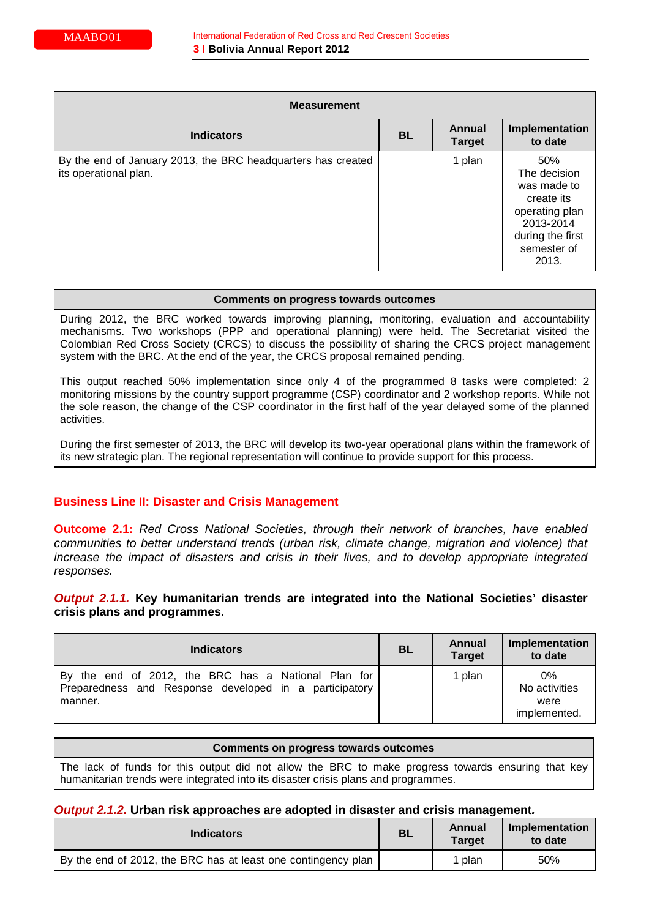| <b>Measurement</b>                                                                    |           |                                |                                                                                                                             |
|---------------------------------------------------------------------------------------|-----------|--------------------------------|-----------------------------------------------------------------------------------------------------------------------------|
| <b>Indicators</b>                                                                     | <b>BL</b> | <b>Annual</b><br><b>Target</b> | Implementation<br>to date                                                                                                   |
| By the end of January 2013, the BRC headquarters has created<br>its operational plan. |           | 1 plan                         | 50%<br>The decision<br>was made to<br>create its<br>operating plan<br>2013-2014<br>during the first<br>semester of<br>2013. |

During 2012, the BRC worked towards improving planning, monitoring, evaluation and accountability mechanisms. Two workshops (PPP and operational planning) were held. The Secretariat visited the Colombian Red Cross Society (CRCS) to discuss the possibility of sharing the CRCS project management system with the BRC. At the end of the year, the CRCS proposal remained pending.

This output reached 50% implementation since only 4 of the programmed 8 tasks were completed: 2 monitoring missions by the country support programme (CSP) coordinator and 2 workshop reports. While not the sole reason, the change of the CSP coordinator in the first half of the year delayed some of the planned activities.

During the first semester of 2013, the BRC will develop its two-year operational plans within the framework of its new strategic plan. The regional representation will continue to provide support for this process.

# **Business Line II: Disaster and Crisis Management**

**Outcome 2.1:** *Red Cross National Societies, through their network of branches, have enabled communities to better understand trends (urban risk, climate change, migration and violence) that increase the impact of disasters and crisis in their lives, and to develop appropriate integrated responses.*

# *Output 2.1.1.* **Key humanitarian trends are integrated into the National Societies' disaster crisis plans and programmes.**

| <b>Indicators</b>                                                                                                        | <b>BL</b> | <b>Annual</b><br><b>Target</b> | Implementation<br>to date                      |
|--------------------------------------------------------------------------------------------------------------------------|-----------|--------------------------------|------------------------------------------------|
| By the end of 2012, the BRC has a National Plan for<br>Preparedness and Response developed in a participatory<br>manner. |           | 1 plan                         | $0\%$<br>No activities<br>were<br>implemented. |

| Comments on progress towards outcomes                                                                                                                                                    |
|------------------------------------------------------------------------------------------------------------------------------------------------------------------------------------------|
| The lack of funds for this output did not allow the BRC to make progress towards ensuring that key<br>humanitarian trends were integrated into its disaster crisis plans and programmes. |

### *Output 2.1.2.* **Urban risk approaches are adopted in disaster and crisis management***.*

| <b>Indicators</b>                                             | <b>BL</b> | Annual<br><b>Target</b> | Implementation<br>to date |
|---------------------------------------------------------------|-----------|-------------------------|---------------------------|
| By the end of 2012, the BRC has at least one contingency plan |           | plan                    | 50%                       |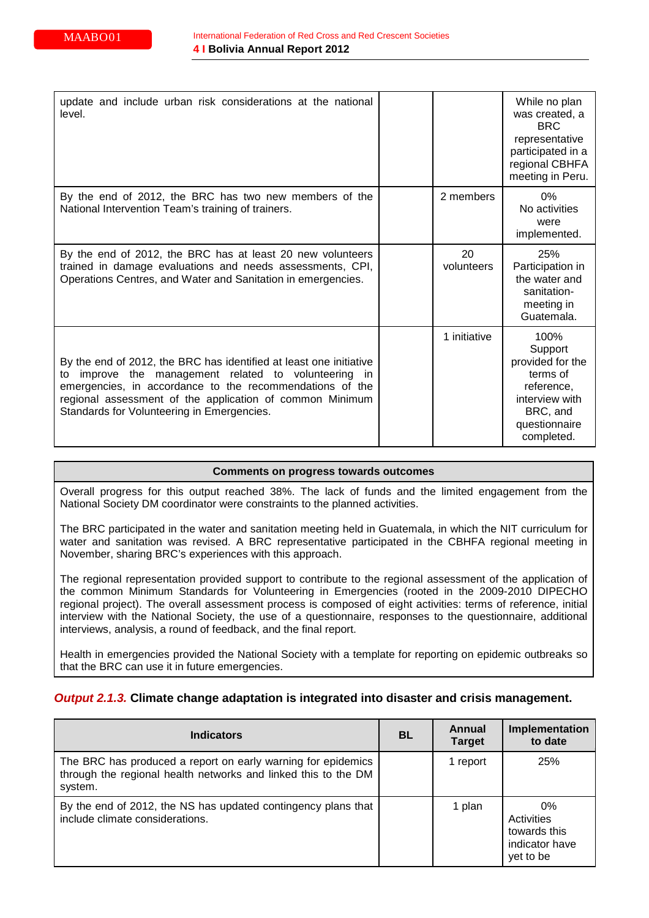| update and include urban risk considerations at the national<br>level.                                                                                                                                                                                                                              |                  | While no plan<br>was created, a<br>BRC.<br>representative<br>participated in a<br>regional CBHFA<br>meeting in Peru.       |
|-----------------------------------------------------------------------------------------------------------------------------------------------------------------------------------------------------------------------------------------------------------------------------------------------------|------------------|----------------------------------------------------------------------------------------------------------------------------|
| By the end of 2012, the BRC has two new members of the<br>National Intervention Team's training of trainers.                                                                                                                                                                                        | 2 members        | $0\%$<br>No activities<br>were<br>implemented.                                                                             |
| By the end of 2012, the BRC has at least 20 new volunteers<br>trained in damage evaluations and needs assessments, CPI,<br>Operations Centres, and Water and Sanitation in emergencies.                                                                                                             | 20<br>volunteers | 25%<br>Participation in<br>the water and<br>sanitation-<br>meeting in<br>Guatemala.                                        |
| By the end of 2012, the BRC has identified at least one initiative<br>improve the management related to volunteering in<br>to<br>emergencies, in accordance to the recommendations of the<br>regional assessment of the application of common Minimum<br>Standards for Volunteering in Emergencies. | 1 initiative     | 100%<br>Support<br>provided for the<br>terms of<br>reference.<br>interview with<br>BRC, and<br>questionnaire<br>completed. |

Overall progress for this output reached 38%. The lack of funds and the limited engagement from the National Society DM coordinator were constraints to the planned activities.

The BRC participated in the water and sanitation meeting held in Guatemala, in which the NIT curriculum for water and sanitation was revised. A BRC representative participated in the CBHFA regional meeting in November, sharing BRC's experiences with this approach.

The regional representation provided support to contribute to the regional assessment of the application of the common Minimum Standards for Volunteering in Emergencies (rooted in the 2009-2010 DIPECHO regional project). The overall assessment process is composed of eight activities: terms of reference, initial interview with the National Society, the use of a questionnaire, responses to the questionnaire, additional interviews, analysis, a round of feedback, and the final report.

Health in emergencies provided the National Society with a template for reporting on epidemic outbreaks so that the BRC can use it in future emergencies.

### *Output 2.1.3.* **Climate change adaptation is integrated into disaster and crisis management.**

| <b>Indicators</b>                                                                                                                         | <b>BL</b> | Annual<br><b>Target</b> | Implementation<br>to date                                          |
|-------------------------------------------------------------------------------------------------------------------------------------------|-----------|-------------------------|--------------------------------------------------------------------|
| The BRC has produced a report on early warning for epidemics<br>through the regional health networks and linked this to the DM<br>system. |           | 1 report                | 25%                                                                |
| By the end of 2012, the NS has updated contingency plans that<br>include climate considerations.                                          |           | 1 plan                  | $0\%$<br>Activities<br>towards this<br>indicator have<br>yet to be |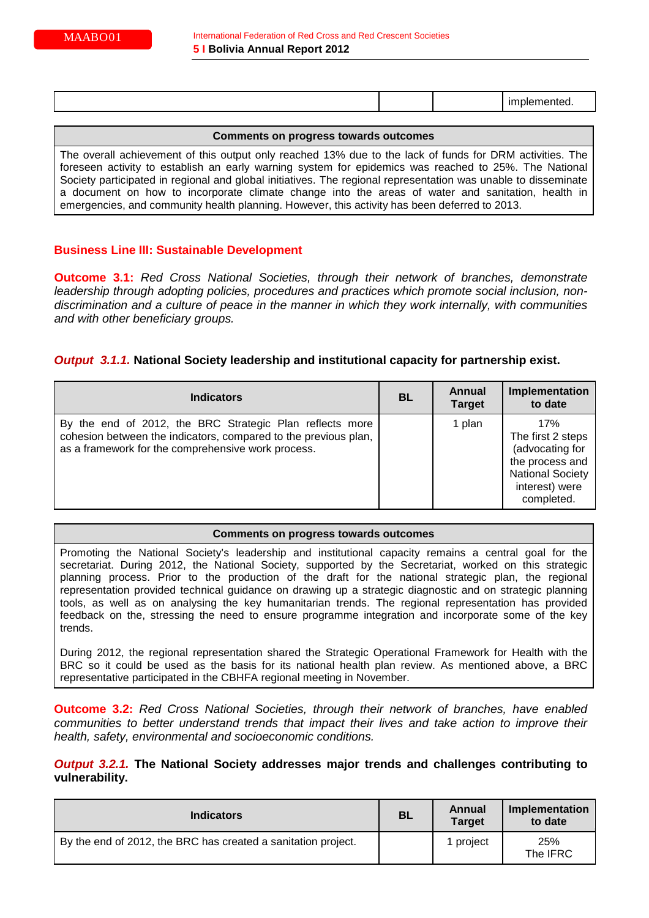|  |  |  |  | ______ |
|--|--|--|--|--------|
|--|--|--|--|--------|

The overall achievement of this output only reached 13% due to the lack of funds for DRM activities. The foreseen activity to establish an early warning system for epidemics was reached to 25%. The National Society participated in regional and global initiatives. The regional representation was unable to disseminate a document on how to incorporate climate change into the areas of water and sanitation, health in emergencies, and community health planning. However, this activity has been deferred to 2013.

# **Business Line III: Sustainable Development**

**Outcome 3.1:** *Red Cross National Societies, through their network of branches, demonstrate leadership through adopting policies, procedures and practices which promote social inclusion, nondiscrimination and a culture of peace in the manner in which they work internally, with communities and with other beneficiary groups.*

# *Output 3.1.1.* **National Society leadership and institutional capacity for partnership exist.**

| <b>Indicators</b>                                                                                                                                                                 | <b>BL</b> | Annual<br><b>Target</b> | Implementation<br>to date                                                                                                 |
|-----------------------------------------------------------------------------------------------------------------------------------------------------------------------------------|-----------|-------------------------|---------------------------------------------------------------------------------------------------------------------------|
| By the end of 2012, the BRC Strategic Plan reflects more<br>cohesion between the indicators, compared to the previous plan,<br>as a framework for the comprehensive work process. |           | 1 plan                  | 17%<br>The first 2 steps<br>(advocating for<br>the process and<br><b>National Society</b><br>interest) were<br>completed. |

### **Comments on progress towards outcomes**

Promoting the National Society's leadership and institutional capacity remains a central goal for the secretariat. During 2012, the National Society, supported by the Secretariat, worked on this strategic planning process. Prior to the production of the draft for the national strategic plan, the regional representation provided technical guidance on drawing up a strategic diagnostic and on strategic planning tools, as well as on analysing the key humanitarian trends. The regional representation has provided feedback on the, stressing the need to ensure programme integration and incorporate some of the key trends.

During 2012, the regional representation shared the Strategic Operational Framework for Health with the BRC so it could be used as the basis for its national health plan review. As mentioned above, a BRC representative participated in the CBHFA regional meeting in November.

**Outcome 3.2:** *Red Cross National Societies, through their network of branches, have enabled communities to better understand trends that impact their lives and take action to improve their health, safety, environmental and socioeconomic conditions.*

*Output 3.2.1.* **The National Society addresses major trends and challenges contributing to vulnerability.**

| <b>Indicators</b>                                             | <b>BL</b> | Annual<br><b>Target</b> | Implementation<br>to date |
|---------------------------------------------------------------|-----------|-------------------------|---------------------------|
| By the end of 2012, the BRC has created a sanitation project. |           | project                 | 25%<br>The IFRC           |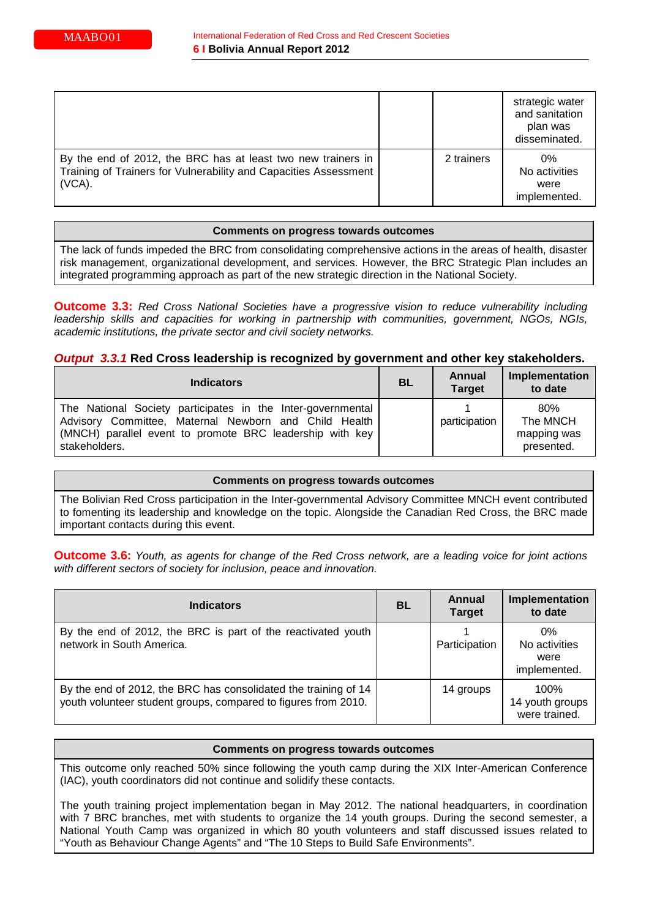|                                                                                                                                               |            | strategic water<br>and sanitation<br>plan was<br>disseminated. |
|-----------------------------------------------------------------------------------------------------------------------------------------------|------------|----------------------------------------------------------------|
| By the end of 2012, the BRC has at least two new trainers in<br>Training of Trainers for Vulnerability and Capacities Assessment<br>$(VCA)$ . | 2 trainers | 0%<br>No activities<br>were<br>implemented.                    |

The lack of funds impeded the BRC from consolidating comprehensive actions in the areas of health, disaster risk management, organizational development, and services. However, the BRC Strategic Plan includes an integrated programming approach as part of the new strategic direction in the National Society.

**Outcome 3.3:** *Red Cross National Societies have a progressive vision to reduce vulnerability including leadership skills and capacities for working in partnership with communities, government, NGOs, NGIs, academic institutions, the private sector and civil society networks.*

# *Output 3.3.1* **Red Cross leadership is recognized by government and other key stakeholders.**

| <b>Indicators</b>                                                                                                                                                                                 |  | Annual<br><b>Target</b> | Implementation<br>to date                    |
|---------------------------------------------------------------------------------------------------------------------------------------------------------------------------------------------------|--|-------------------------|----------------------------------------------|
| The National Society participates in the Inter-governmental<br>Advisory Committee, Maternal Newborn and Child Health<br>(MNCH) parallel event to promote BRC leadership with key<br>stakeholders. |  | participation           | 80%<br>The MNCH<br>mapping was<br>presented. |

### **Comments on progress towards outcomes**

The Bolivian Red Cross participation in the Inter-governmental Advisory Committee MNCH event contributed to fomenting its leadership and knowledge on the topic. Alongside the Canadian Red Cross, the BRC made important contacts during this event.

**Outcome 3.6:** *Youth, as agents for change of the Red Cross network, are a leading voice for joint actions with different sectors of society for inclusion, peace and innovation.*

| <b>Indicators</b>                                                                                                                 | BL | Annual<br><b>Target</b> | Implementation<br>to date                   |
|-----------------------------------------------------------------------------------------------------------------------------------|----|-------------------------|---------------------------------------------|
| By the end of 2012, the BRC is part of the reactivated youth<br>network in South America.                                         |    | Participation           | 0%<br>No activities<br>were<br>implemented. |
| By the end of 2012, the BRC has consolidated the training of 14<br>youth volunteer student groups, compared to figures from 2010. |    | 14 groups               | 100%<br>14 youth groups<br>were trained.    |

#### **Comments on progress towards outcomes**

This outcome only reached 50% since following the youth camp during the XIX Inter-American Conference (IAC), youth coordinators did not continue and solidify these contacts.

The youth training project implementation began in May 2012. The national headquarters, in coordination with 7 BRC branches, met with students to organize the 14 youth groups. During the second semester, a National Youth Camp was organized in which 80 youth volunteers and staff discussed issues related to "Youth as Behaviour Change Agents" and "The 10 Steps to Build Safe Environments".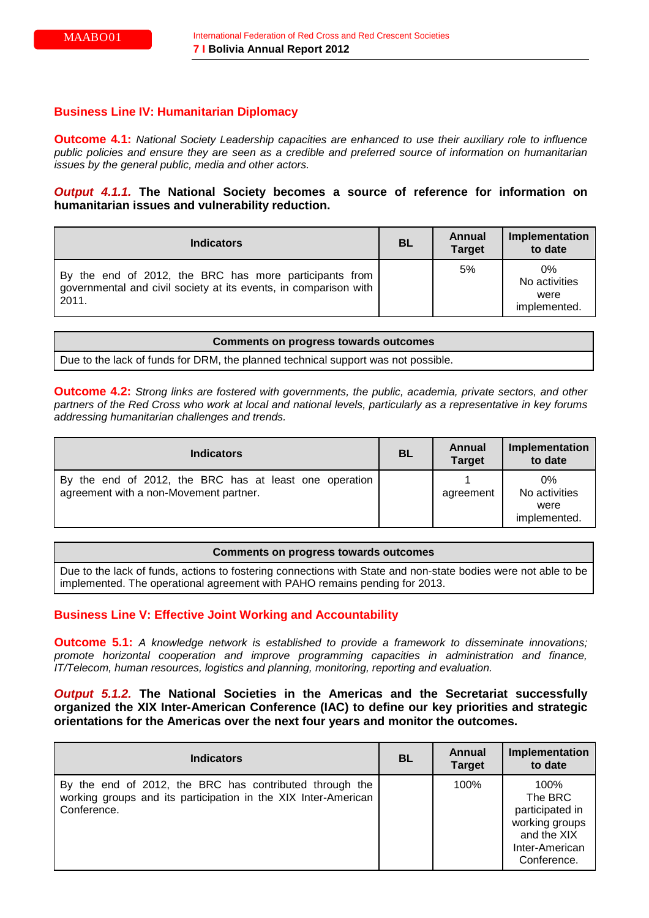# **Business Line IV: Humanitarian Diplomacy**

**Outcome 4.1:** *National Society Leadership capacities are enhanced to use their auxiliary role to influence public policies and ensure they are seen as a credible and preferred source of information on humanitarian issues by the general public, media and other actors.*

# *Output 4.1.1.* **The National Society becomes a source of reference for information on humanitarian issues and vulnerability reduction.**

| <b>Indicators</b>                                                                                                                   | <b>BL</b> | Annual<br><b>Target</b> | Implementation<br>to date                   |
|-------------------------------------------------------------------------------------------------------------------------------------|-----------|-------------------------|---------------------------------------------|
| By the end of 2012, the BRC has more participants from<br>governmental and civil society at its events, in comparison with<br>2011. |           | 5%                      | 0%<br>No activities<br>were<br>implemented. |

| <b>Comments on progress towards outcomes</b>                                      |
|-----------------------------------------------------------------------------------|
| Due to the lack of funds for DRM, the planned technical support was not possible. |

**Outcome 4.2:** *Strong links are fostered with governments, the public, academia, private sectors, and other partners of the Red Cross who work at local and national levels, particularly as a representative in key forums addressing humanitarian challenges and trends.*

| <b>Indicators</b>                                                                                | <b>BL</b> | Annual<br><b>Target</b> | Implementation<br>to date                   |
|--------------------------------------------------------------------------------------------------|-----------|-------------------------|---------------------------------------------|
| By the end of 2012, the BRC has at least one operation<br>agreement with a non-Movement partner. |           | agreement               | 0%<br>No activities<br>were<br>implemented. |

# **Comments on progress towards outcomes** Due to the lack of funds, actions to fostering connections with State and non-state bodies were not able to be implemented. The operational agreement with PAHO remains pending for 2013.

# **Business Line V: Effective Joint Working and Accountability**

**Outcome 5.1:** *A knowledge network is established to provide a framework to disseminate innovations; promote horizontal cooperation and improve programming capacities in administration and finance, IT/Telecom, human resources, logistics and planning, monitoring, reporting and evaluation.*

# *Output 5.1.2.* **The National Societies in the Americas and the Secretariat successfully organized the XIX Inter-American Conference (IAC) to define our key priorities and strategic orientations for the Americas over the next four years and monitor the outcomes.**

| <b>Indicators</b>                                                                                                                        | <b>BL</b> | Annual<br><b>Target</b> | Implementation<br>to date                                                                            |
|------------------------------------------------------------------------------------------------------------------------------------------|-----------|-------------------------|------------------------------------------------------------------------------------------------------|
| By the end of 2012, the BRC has contributed through the<br>working groups and its participation in the XIX Inter-American<br>Conference. |           | 100%                    | 100%<br>The BRC<br>participated in<br>working groups<br>and the XIX<br>Inter-American<br>Conference. |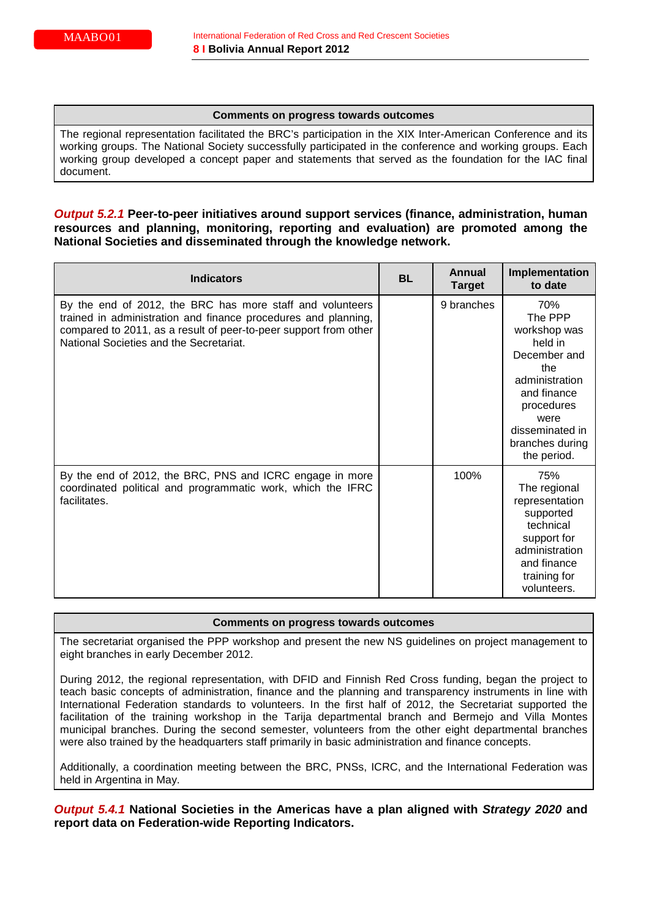The regional representation facilitated the BRC's participation in the XIX Inter-American Conference and its working groups. The National Society successfully participated in the conference and working groups. Each working group developed a concept paper and statements that served as the foundation for the IAC final document.

# *Output 5.2.1* **Peer-to-peer initiatives around support services (finance, administration, human resources and planning, monitoring, reporting and evaluation) are promoted among the National Societies and disseminated through the knowledge network.**

| <b>Indicators</b>                                                                                                                                                                                                                          | <b>BL</b> | Annual<br><b>Target</b> | Implementation<br>to date                                                                                                                                                    |
|--------------------------------------------------------------------------------------------------------------------------------------------------------------------------------------------------------------------------------------------|-----------|-------------------------|------------------------------------------------------------------------------------------------------------------------------------------------------------------------------|
| By the end of 2012, the BRC has more staff and volunteers<br>trained in administration and finance procedures and planning,<br>compared to 2011, as a result of peer-to-peer support from other<br>National Societies and the Secretariat. |           | 9 branches              | 70%<br>The PPP<br>workshop was<br>held in<br>December and<br>the<br>administration<br>and finance<br>procedures<br>were<br>disseminated in<br>branches during<br>the period. |
| By the end of 2012, the BRC, PNS and ICRC engage in more<br>coordinated political and programmatic work, which the IFRC<br>facilitates.                                                                                                    |           | 100%                    | 75%<br>The regional<br>representation<br>supported<br>technical<br>support for<br>administration<br>and finance<br>training for<br>volunteers.                               |

### **Comments on progress towards outcomes**

The secretariat organised the PPP workshop and present the new NS guidelines on project management to eight branches in early December 2012.

During 2012, the regional representation, with DFID and Finnish Red Cross funding, began the project to teach basic concepts of administration, finance and the planning and transparency instruments in line with International Federation standards to volunteers. In the first half of 2012, the Secretariat supported the facilitation of the training workshop in the Tarija departmental branch and Bermejo and Villa Montes municipal branches. During the second semester, volunteers from the other eight departmental branches were also trained by the headquarters staff primarily in basic administration and finance concepts.

Additionally, a coordination meeting between the BRC, PNSs, ICRC, and the International Federation was held in Argentina in May.

*Output 5.4.1* **National Societies in the Americas have a plan aligned with** *Strategy 2020* **and report data on Federation-wide Reporting Indicators.**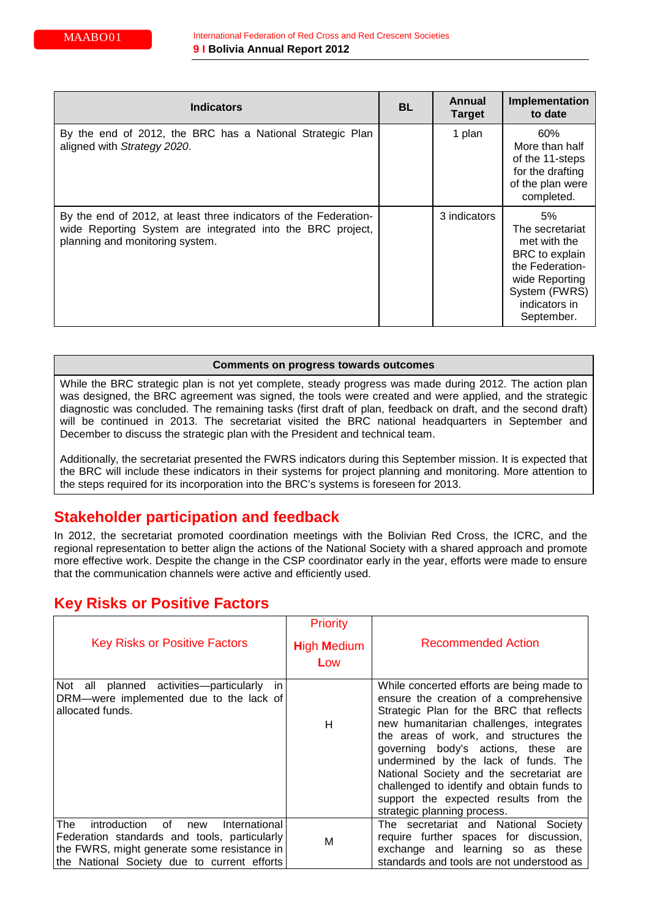| <b>Indicators</b>                                                                                                                                                 |  | Annual<br><b>Target</b> | Implementation<br>to date                                                                                                                    |
|-------------------------------------------------------------------------------------------------------------------------------------------------------------------|--|-------------------------|----------------------------------------------------------------------------------------------------------------------------------------------|
| By the end of 2012, the BRC has a National Strategic Plan<br>aligned with Strategy 2020.                                                                          |  | 1 plan                  | 60%<br>More than half<br>of the 11-steps<br>for the drafting<br>of the plan were<br>completed.                                               |
| By the end of 2012, at least three indicators of the Federation-<br>wide Reporting System are integrated into the BRC project,<br>planning and monitoring system. |  | 3 indicators            | 5%<br>The secretariat<br>met with the<br>BRC to explain<br>the Federation-<br>wide Reporting<br>System (FWRS)<br>indicators in<br>September. |

While the BRC strategic plan is not yet complete, steady progress was made during 2012. The action plan was designed, the BRC agreement was signed, the tools were created and were applied, and the strategic diagnostic was concluded. The remaining tasks (first draft of plan, feedback on draft, and the second draft) will be continued in 2013. The secretariat visited the BRC national headquarters in September and December to discuss the strategic plan with the President and technical team.

Additionally, the secretariat presented the FWRS indicators during this September mission. It is expected that the BRC will include these indicators in their systems for project planning and monitoring. More attention to the steps required for its incorporation into the BRC's systems is foreseen for 2013.

# **Stakeholder participation and feedback**

In 2012, the secretariat promoted coordination meetings with the Bolivian Red Cross, the ICRC, and the regional representation to better align the actions of the National Society with a shared approach and promote more effective work. Despite the change in the CSP coordinator early in the year, efforts were made to ensure that the communication channels were active and efficiently used.

# **Key Risks or Positive Factors**

| <b>Key Risks or Positive Factors</b>                                                                                                                                                            | <b>Priority</b><br><b>High Medium</b><br>Low | <b>Recommended Action</b>                                                                                                                                                                                                                                                                                                                                                                                                                                            |
|-------------------------------------------------------------------------------------------------------------------------------------------------------------------------------------------------|----------------------------------------------|----------------------------------------------------------------------------------------------------------------------------------------------------------------------------------------------------------------------------------------------------------------------------------------------------------------------------------------------------------------------------------------------------------------------------------------------------------------------|
| Not all planned activities--particularly<br>in.<br>DRM-were implemented due to the lack of<br>allocated funds.                                                                                  | H                                            | While concerted efforts are being made to<br>ensure the creation of a comprehensive<br>Strategic Plan for the BRC that reflects<br>new humanitarian challenges, integrates<br>the areas of work, and structures the<br>governing body's actions, these are<br>undermined by the lack of funds. The<br>National Society and the secretariat are<br>challenged to identify and obtain funds to<br>support the expected results from the<br>strategic planning process. |
| The<br>introduction<br>International<br>0f<br>new<br>Federation standards and tools, particularly<br>the FWRS, might generate some resistance in<br>the National Society due to current efforts | M                                            | The secretariat and National Society<br>require further spaces for discussion,<br>exchange and learning so as these<br>standards and tools are not understood as                                                                                                                                                                                                                                                                                                     |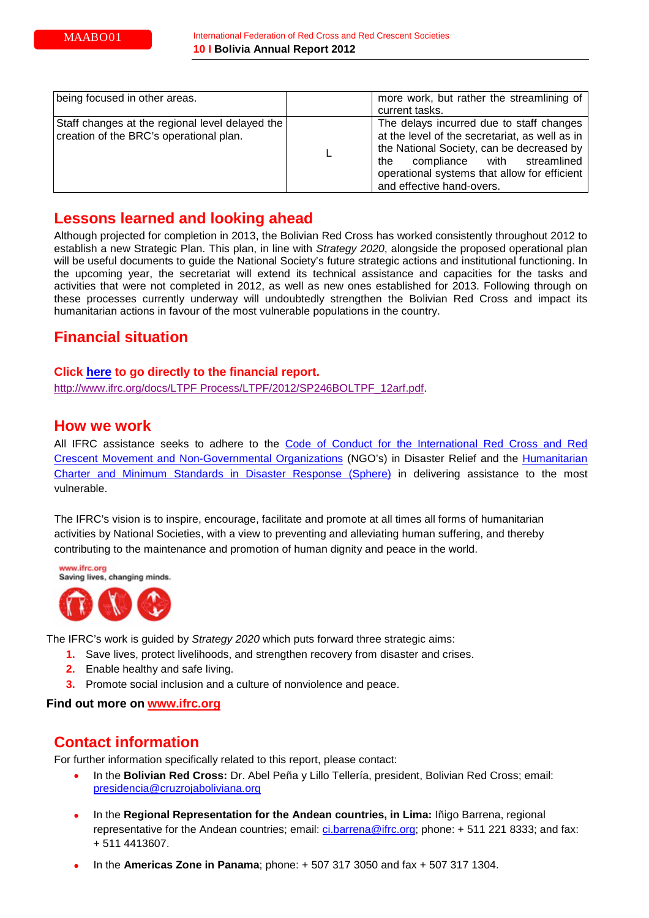| being focused in other areas.                                                              | more work, but rather the streamlining of<br>current tasks.                                                                                                                                                                                                |
|--------------------------------------------------------------------------------------------|------------------------------------------------------------------------------------------------------------------------------------------------------------------------------------------------------------------------------------------------------------|
| Staff changes at the regional level delayed the<br>creation of the BRC's operational plan. | The delays incurred due to staff changes<br>at the level of the secretariat, as well as in<br>the National Society, can be decreased by<br>compliance with streamlined<br>the<br>operational systems that allow for efficient<br>and effective hand-overs. |

# **Lessons learned and looking ahead**

Although projected for completion in 2013, the Bolivian Red Cross has worked consistently throughout 2012 to establish a new Strategic Plan. This plan, in line with *Strategy 2020*, alongside the proposed operational plan will be useful documents to guide the National Society's future strategic actions and institutional functioning. In the upcoming year, the secretariat will extend its technical assistance and capacities for the tasks and activities that were not completed in 2012, as well as new ones established for 2013. Following through on these processes currently underway will undoubtedly strengthen the Bolivian Red Cross and impact its humanitarian actions in favour of the most vulnerable populations in the country.

# **Financial situation**

# **Click [here](http://www.ifrc.org/docs/LTPF%20Process/LTPF/2012/SP246BOLTPF_12arf.pdf.) to go directly to the financial report.**

[http://www.ifrc.org/docs/LTPF Process/LTPF/2012/SP246BOLTPF\\_12arf.pdf.](http://www.ifrc.org/docs/LTPF%20Process/LTPF/2012/SP246BOLTPF_12arf.pdf)

# **How we work**

All IFRC assistance seeks to adhere to the [Code of Conduct for the International Red Cross and Red](http://www.ifrc.org/en/publications-and-reports/code-of-conduct/)  [Crescent Movement and Non-Governmental Organizations](http://www.ifrc.org/en/publications-and-reports/code-of-conduct/) (NGO's) in Disaster Relief and the [Humanitarian](http://www.sphereproject.org/)  [Charter and Minimum Standards in Disaster Response \(Sphere\)](http://www.sphereproject.org/) in delivering assistance to the most vulnerable.

The IFRC's vision is to inspire, encourage, facilitate and promote at all times all forms of humanitarian activities by National Societies, with a view to preventing and alleviating human suffering, and thereby contributing to the maintenance and promotion of human dignity and peace in the world.

www.ifrc.org Saving lives, changing minds.



The IFRC's work is guided by *Strategy 2020* which puts forward three strategic aims:

- **1.** Save lives, protect livelihoods, and strengthen recovery from disaster and crises.
- **2.** Enable healthy and safe living.
- **3.** Promote social inclusion and a culture of nonviolence and peace.

### **Find out more on [www.ifrc.org](http://www.ifrc.org/en/who-we-are/vision-and-mission/strategy-2020/)**

# **Contact information**

For further information specifically related to this report, please contact:

- In the **Bolivian Red Cross:** Dr. Abel Peña y Lillo Tellería, president, Bolivian Red Cross; email: [presidencia@cruzrojaboliviana.org](mailto:presidencia@cruzrojaboliviana.org)
- In the **Regional Representation for the Andean countries, in Lima:** Iñigo Barrena, regional representative for the Andean countries; email: [ci.barrena@ifrc.org;](mailto:ci.barrena@ifrc.org) phone: + 511 221 8333; and fax: + 511 4413607.
- In the **Americas Zone in Panama**; phone: + 507 317 3050 and fax + 507 317 1304.